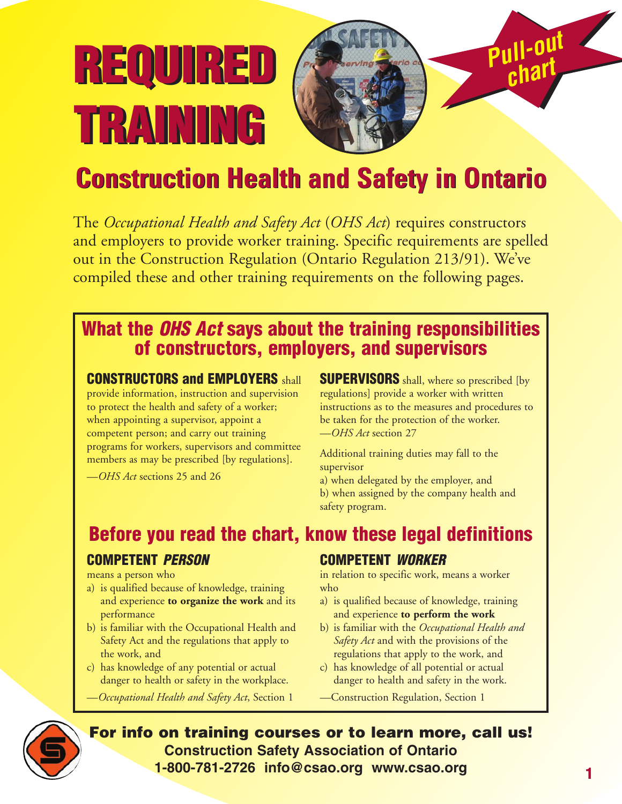# **REQUIRED REQUIRED** *chart* **TRAINING TRAINING**



## **Construction Health and Safety in Ontario Construction Health and Safety in Ontario**

The *Occupational Health and Safety Act* (*OHS Act*) requires constructors and employers to provide worker training. Specific requirements are spelled out in the Construction Regulation (Ontario Regulation 213/91). We've compiled these and other training requirements on the following pages.

#### **What the** *OHS Act* **says about the training responsibilities of constructors, employers, and supervisors**

#### **CONSTRUCTORS and EMPLOYERS** shall

provide information, instruction and supervision to protect the health and safety of a worker; when appointing a supervisor, appoint a competent person; and carry out training programs for workers, supervisors and committee members as may be prescribed [by regulations].

—*OHS Act* sections 25 and 26

**SUPERVISORS** shall, where so prescribed [by regulations] provide a worker with written instructions as to the measures and procedures to be taken for the protection of the worker. —*OHS Act* section 27

Additional training duties may fall to the supervisor

a) when delegated by the employer, and b) when assigned by the company health and safety program.

#### **Before you read the chart, know these legal definitions**

#### **COMPETENT** *PERSON*

means a person who

- a) is qualified because of knowledge, training and experience **to organize the work** and its performance
- b) is familiar with the Occupational Health and Safety Act and the regulations that apply to the work, and
- c) has knowledge of any potential or actual danger to health or safety in the workplace.
- —*Occupational Health and Safety Act*, Section 1

#### **COMPETENT** *WORKER*

in relation to specific work, means a worker who

- a) is qualified because of knowledge, training and experience **to perform the work**
- b) is familiar with the *Occupational Health and Safety Act* and with the provisions of the regulations that apply to the work, and
- c) has knowledge of all potential or actual danger to health and safety in the work.
- —Construction Regulation, Section 1



**For info on training courses or to learn more, call us! Construction Safety Association of Ontario 1-800-781-2726 info@csao.org www.csao.org**

*Pull-out*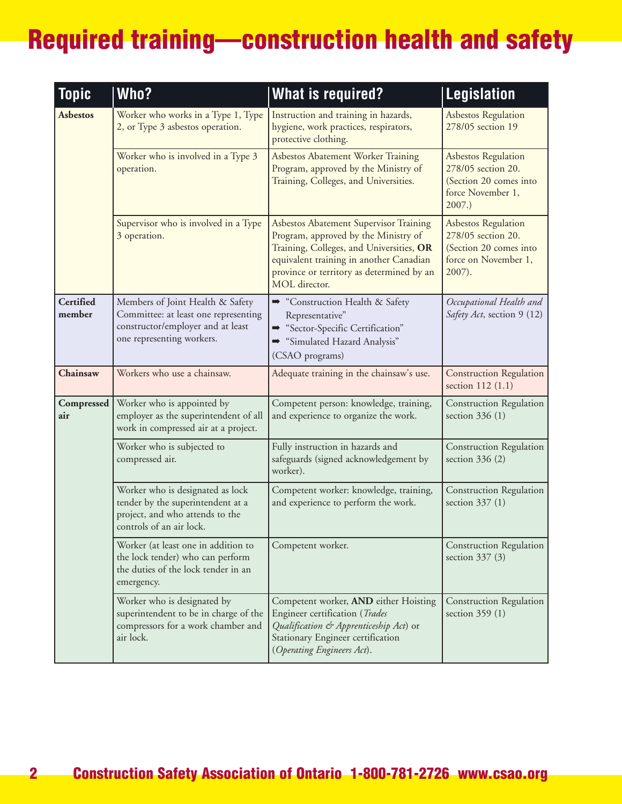| <b>Topic</b>        | Who?                                                                                                                                       | <b>What is required?</b>                                                                                                                                                                                                            | <b>Legislation</b>                                                                                           |
|---------------------|--------------------------------------------------------------------------------------------------------------------------------------------|-------------------------------------------------------------------------------------------------------------------------------------------------------------------------------------------------------------------------------------|--------------------------------------------------------------------------------------------------------------|
| <b>Asbestos</b>     | Worker who works in a Type 1, Type<br>2, or Type 3 asbestos operation.                                                                     | Instruction and training in hazards,<br>hygiene, work practices, respirators,<br>protective clothing.                                                                                                                               | <b>Asbestos Regulation</b><br>278/05 section 19                                                              |
|                     | Worker who is involved in a Type 3<br>operation.                                                                                           | Asbestos Abatement Worker Training<br>Program, approved by the Ministry of<br>Training, Colleges, and Universities.                                                                                                                 | <b>Asbestos Regulation</b><br>278/05 section 20.<br>(Section 20 comes into<br>force November 1,<br>2007.     |
|                     | Supervisor who is involved in a Type<br>3 operation.                                                                                       | Asbestos Abatement Supervisor Training<br>Program, approved by the Ministry of<br>Training, Colleges, and Universities, OR<br>equivalent training in another Canadian<br>province or territory as determined by an<br>MOL director. | <b>Asbestos Regulation</b><br>278/05 section 20.<br>(Section 20 comes into<br>force on November 1,<br>2007). |
| Certified<br>member | Members of Joint Health & Safety<br>Committee: at least one representing<br>constructor/employer and at least<br>one representing workers. | Construction Health & Safety<br>Representative"<br>Sector-Specific Certification"<br>"Simulated Hazard Analysis"<br>(CSAO programs)                                                                                                 | Occupational Health and<br>Safety Act, section 9 (12)                                                        |
| Chainsaw            | Workers who use a chainsaw.                                                                                                                | Adequate training in the chainsaw's use.                                                                                                                                                                                            | <b>Construction Regulation</b><br>section 112 (1.1)                                                          |
| Compressed<br>air   | Worker who is appointed by<br>employer as the superintendent of all<br>work in compressed air at a project.                                | Competent person: knowledge, training,<br>and experience to organize the work.                                                                                                                                                      | <b>Construction Regulation</b><br>section 336 (1)                                                            |
|                     | Worker who is subjected to<br>compressed air.                                                                                              | Fully instruction in hazards and<br>safeguards (signed acknowledgement by<br>worker).                                                                                                                                               | <b>Construction Regulation</b><br>section $336(2)$                                                           |
|                     | Worker who is designated as lock<br>tender by the superintendent at a<br>project, and who attends to the<br>controls of an air lock.       | Competent worker: knowledge, training,<br>and experience to perform the work.                                                                                                                                                       | <b>Construction Regulation</b><br>section 337 (1)                                                            |
|                     | Worker (at least one in addition to<br>the lock tender) who can perform<br>the duties of the lock tender in an<br>emergency.               | Competent worker.                                                                                                                                                                                                                   | <b>Construction Regulation</b><br>section $337(3)$                                                           |
|                     | Worker who is designated by<br>superintendent to be in charge of the<br>compressors for a work chamber and<br>air lock.                    | Competent worker, AND either Hoisting<br>Engineer certification (Trades<br>Qualification & Apprenticeship Act) or<br>Stationary Engineer certification<br>(Operating Engineers Act).                                                | <b>Construction Regulation</b><br>section 359 (1)                                                            |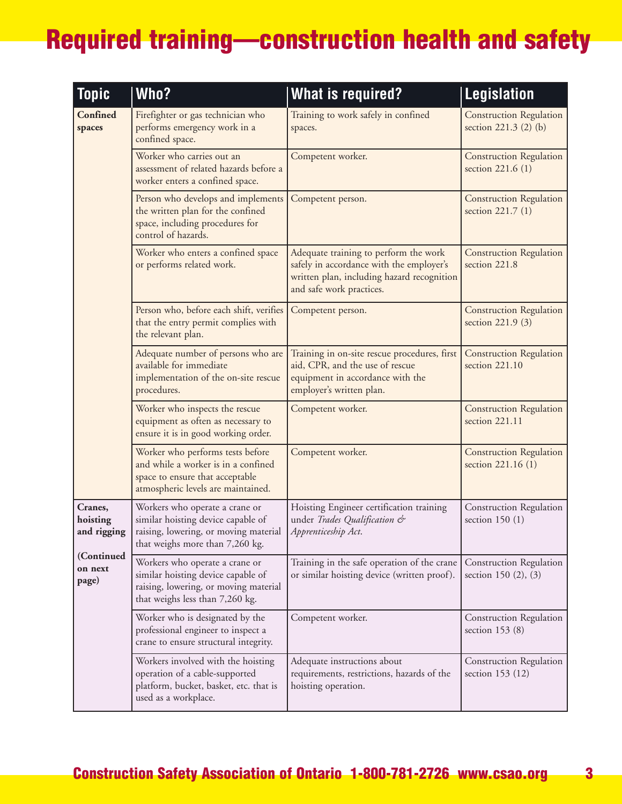| <b>Topic</b>                       | Who?                                                                                                                                             | <b>What is required?</b>                                                                                                                                    | <b>Legislation</b>                                      |
|------------------------------------|--------------------------------------------------------------------------------------------------------------------------------------------------|-------------------------------------------------------------------------------------------------------------------------------------------------------------|---------------------------------------------------------|
| Confined<br>spaces                 | Firefighter or gas technician who<br>performs emergency work in a<br>confined space.                                                             | Training to work safely in confined<br>spaces.                                                                                                              | <b>Construction Regulation</b><br>section 221.3 (2) (b) |
|                                    | Worker who carries out an<br>assessment of related hazards before a<br>worker enters a confined space.                                           | Competent worker.                                                                                                                                           | <b>Construction Regulation</b><br>section 221.6 (1)     |
|                                    | Person who develops and implements<br>the written plan for the confined<br>space, including procedures for<br>control of hazards.                | Competent person.                                                                                                                                           | <b>Construction Regulation</b><br>section 221.7 (1)     |
|                                    | Worker who enters a confined space<br>or performs related work.                                                                                  | Adequate training to perform the work<br>safely in accordance with the employer's<br>written plan, including hazard recognition<br>and safe work practices. | <b>Construction Regulation</b><br>section 221.8         |
|                                    | Person who, before each shift, verifies<br>that the entry permit complies with<br>the relevant plan.                                             | Competent person.                                                                                                                                           | <b>Construction Regulation</b><br>section 221.9 (3)     |
|                                    | Adequate number of persons who are<br>available for immediate<br>implementation of the on-site rescue<br>procedures.                             | Training in on-site rescue procedures, first<br>aid, CPR, and the use of rescue<br>equipment in accordance with the<br>employer's written plan.             | <b>Construction Regulation</b><br>section 221.10        |
|                                    | Worker who inspects the rescue<br>equipment as often as necessary to<br>ensure it is in good working order.                                      | Competent worker.                                                                                                                                           | <b>Construction Regulation</b><br>section 221.11        |
|                                    | Worker who performs tests before<br>and while a worker is in a confined<br>space to ensure that acceptable<br>atmospheric levels are maintained. | Competent worker.                                                                                                                                           | <b>Construction Regulation</b><br>section 221.16 (1)    |
| Cranes,<br>hoisting<br>and rigging | Workers who operate a crane or<br>similar hoisting device capable of<br>raising, lowering, or moving material<br>that weighs more than 7,260 kg. | Hoisting Engineer certification training<br>under Trades Qualification &<br>Apprenticeship Act.                                                             | Construction Regulation<br>section $150(1)$             |
| (Continued<br>on next<br>page)     | Workers who operate a crane or<br>similar hoisting device capable of<br>raising, lowering, or moving material<br>that weighs less than 7,260 kg. | Training in the safe operation of the crane<br>or similar hoisting device (written proof).                                                                  | Construction Regulation<br>section 150 (2), (3)         |
|                                    | Worker who is designated by the<br>professional engineer to inspect a<br>crane to ensure structural integrity.                                   | Competent worker.                                                                                                                                           | <b>Construction Regulation</b><br>section 153 (8)       |
|                                    | Workers involved with the hoisting<br>operation of a cable-supported<br>platform, bucket, basket, etc. that is<br>used as a workplace.           | Adequate instructions about<br>requirements, restrictions, hazards of the<br>hoisting operation.                                                            | Construction Regulation<br>section 153 (12)             |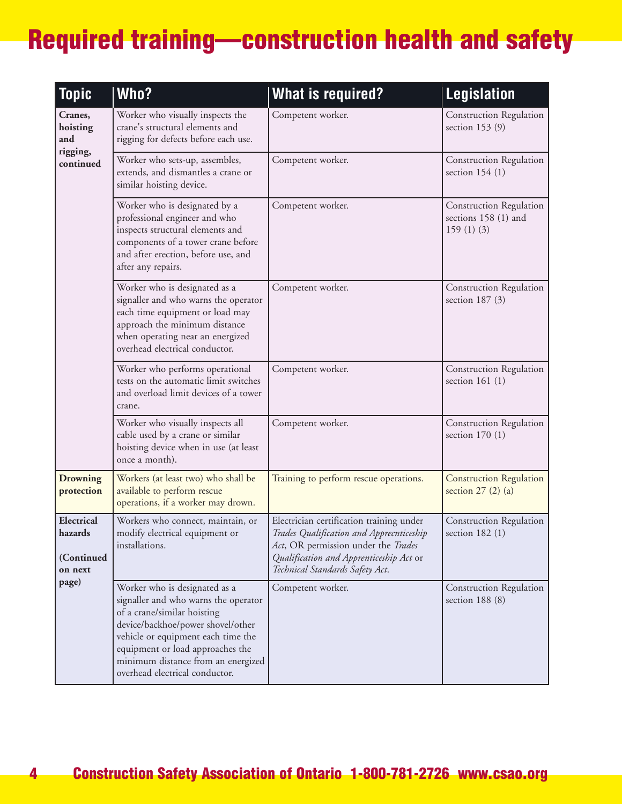| <b>Topic</b>                                            | Who?                                                                                                                                                                                                                                                                                        | <b>What is required?</b>                                                                                                                                                                                  | <b>Legislation</b>                                           |
|---------------------------------------------------------|---------------------------------------------------------------------------------------------------------------------------------------------------------------------------------------------------------------------------------------------------------------------------------------------|-----------------------------------------------------------------------------------------------------------------------------------------------------------------------------------------------------------|--------------------------------------------------------------|
| Cranes,<br>hoisting<br>and<br>rigging,<br>continued     | Worker who visually inspects the<br>crane's structural elements and<br>rigging for defects before each use.                                                                                                                                                                                 | Competent worker.                                                                                                                                                                                         | Construction Regulation<br>section $153(9)$                  |
|                                                         | Worker who sets-up, assembles,<br>extends, and dismantles a crane or<br>similar hoisting device.                                                                                                                                                                                            | Competent worker.                                                                                                                                                                                         | Construction Regulation<br>section $154(1)$                  |
|                                                         | Worker who is designated by a<br>professional engineer and who<br>inspects structural elements and<br>components of a tower crane before<br>and after erection, before use, and<br>after any repairs.                                                                                       | Competent worker.                                                                                                                                                                                         | Construction Regulation<br>sections 158 (1) and<br>159(1)(3) |
|                                                         | Worker who is designated as a<br>signaller and who warns the operator<br>each time equipment or load may<br>approach the minimum distance<br>when operating near an energized<br>overhead electrical conductor.                                                                             | Competent worker.                                                                                                                                                                                         | Construction Regulation<br>section $187(3)$                  |
|                                                         | Worker who performs operational<br>tests on the automatic limit switches<br>and overload limit devices of a tower<br>crane.                                                                                                                                                                 | Competent worker.                                                                                                                                                                                         | Construction Regulation<br>section $161(1)$                  |
|                                                         | Worker who visually inspects all<br>cable used by a crane or similar<br>hoisting device when in use (at least<br>once a month).                                                                                                                                                             | Competent worker.                                                                                                                                                                                         | <b>Construction Regulation</b><br>section $170(1)$           |
| <b>Drowning</b><br>protection                           | Workers (at least two) who shall be<br>available to perform rescue<br>operations, if a worker may drown.                                                                                                                                                                                    | Training to perform rescue operations.                                                                                                                                                                    | <b>Construction Regulation</b><br>section $27$ (2) (a)       |
| Electrical<br>hazards<br>(Continued<br>on next<br>page) | Workers who connect, maintain, or<br>modify electrical equipment or<br>installations.                                                                                                                                                                                                       | Electrician certification training under<br>Trades Qualification and Apprecnticeship<br>Act, OR permission under the Trades<br>Qualification and Apprenticeship Act or<br>Technical Standards Safety Act. | <b>Construction Regulation</b><br>section $182(1)$           |
|                                                         | Worker who is designated as a<br>signaller and who warns the operator<br>of a crane/similar hoisting<br>device/backhoe/power shovel/other<br>vehicle or equipment each time the<br>equipment or load approaches the<br>minimum distance from an energized<br>overhead electrical conductor. | Competent worker.                                                                                                                                                                                         | <b>Construction Regulation</b><br>section $188(8)$           |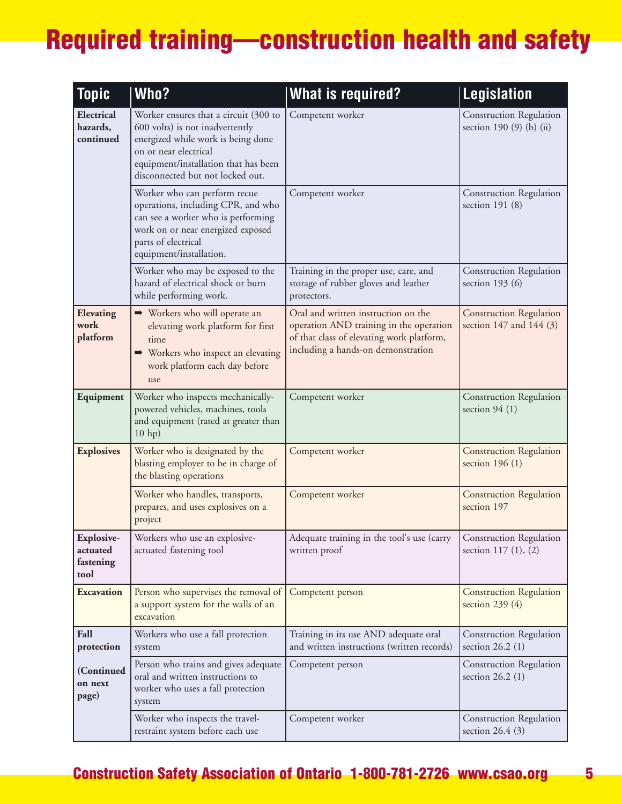| <b>Topic</b>                                | Who?                                                                                                                                                                                                                | <b>What is required?</b>                                                                                                                                          | <b>Legislation</b>                                            |
|---------------------------------------------|---------------------------------------------------------------------------------------------------------------------------------------------------------------------------------------------------------------------|-------------------------------------------------------------------------------------------------------------------------------------------------------------------|---------------------------------------------------------------|
| Electrical<br>hazards,<br>continued         | Worker ensures that a circuit (300 to<br>600 volts) is not inadvertently<br>energized while work is being done<br>on or near electrical<br>equipment/installation that has been<br>disconnected but not locked out. | Competent worker                                                                                                                                                  | Construction Regulation<br>section 190 (9) (b) (ii)           |
|                                             | Worker who can perform recue<br>operations, including CPR, and who<br>can see a worker who is performing<br>work on or near energized exposed<br>parts of electrical<br>equipment/installation.                     | Competent worker                                                                                                                                                  | Construction Regulation<br>section $191(8)$                   |
|                                             | Worker who may be exposed to the<br>hazard of electrical shock or burn<br>while performing work.                                                                                                                    | Training in the proper use, care, and<br>storage of rubber gloves and leather<br>protectors.                                                                      | <b>Construction Regulation</b><br>section 193 $(6)$           |
| Elevating<br>work<br>platform               | → Workers who will operate an<br>elevating work platform for first<br>time<br>→ Workers who inspect an elevating<br>work platform each day before<br>use                                                            | Oral and written instruction on the<br>operation AND training in the operation<br>of that class of elevating work platform,<br>including a hands-on demonstration | <b>Construction Regulation</b><br>section $147$ and $144$ (3) |
| Equipment                                   | Worker who inspects mechanically-<br>powered vehicles, machines, tools<br>and equipment (rated at greater than<br>$10$ hp)                                                                                          | Competent worker                                                                                                                                                  | <b>Construction Regulation</b><br>section $94(1)$             |
| <b>Explosives</b>                           | Worker who is designated by the<br>blasting employer to be in charge of<br>the blasting operations                                                                                                                  | Competent worker                                                                                                                                                  | <b>Construction Regulation</b><br>section $196(1)$            |
|                                             | Worker who handles, transports,<br>prepares, and uses explosives on a<br>project                                                                                                                                    | Competent worker                                                                                                                                                  | <b>Construction Regulation</b><br>section 197                 |
| Explosive-<br>actuated<br>fastening<br>tool | Workers who use an explosive-<br>actuated fastening tool                                                                                                                                                            | Adequate training in the tool's use (carry<br>written proof                                                                                                       | <b>Construction Regulation</b><br>section 117 (1), (2)        |
| <b>Excavation</b>                           | Person who supervises the removal of<br>a support system for the walls of an<br>excavation                                                                                                                          | Competent person                                                                                                                                                  | <b>Construction Regulation</b><br>section 239 (4)             |
| Fall<br>protection                          | Workers who use a fall protection<br>system                                                                                                                                                                         | Training in its use AND adequate oral<br>and written instructions (written records)                                                                               | <b>Construction Regulation</b><br>section $26.2$ (1)          |
| (Continued<br>on next<br>page)              | Person who trains and gives adequate<br>oral and written instructions to<br>worker who uses a fall protection<br>system                                                                                             | Competent person                                                                                                                                                  | <b>Construction Regulation</b><br>section $26.2$ (1)          |
|                                             | Worker who inspects the travel-<br>restraint system before each use                                                                                                                                                 | Competent worker                                                                                                                                                  | <b>Construction Regulation</b><br>section $26.4$ (3)          |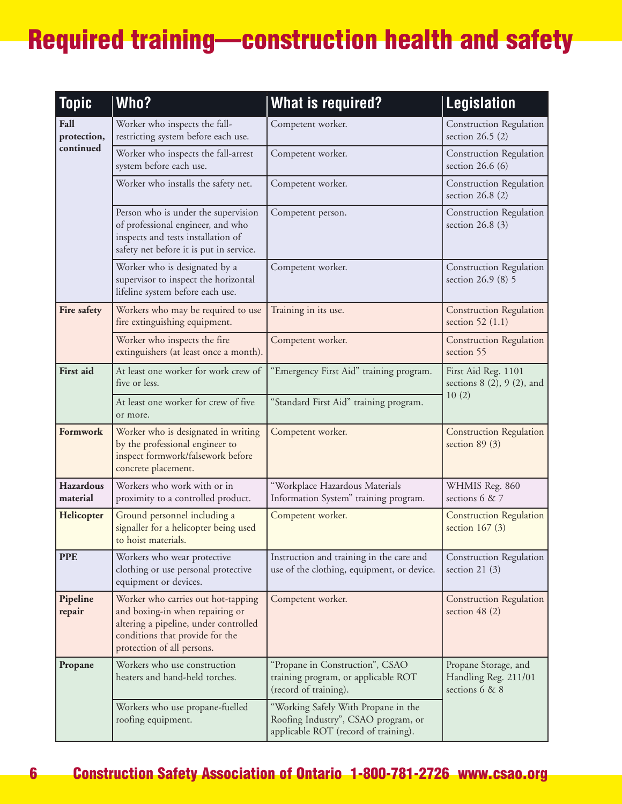| <b>Topic</b>                     | Who?                                                                                                                                                                            | <b>What is required?</b>                                                                                           | Legislation                                                    |
|----------------------------------|---------------------------------------------------------------------------------------------------------------------------------------------------------------------------------|--------------------------------------------------------------------------------------------------------------------|----------------------------------------------------------------|
| Fall<br>protection,<br>continued | Worker who inspects the fall-<br>restricting system before each use.                                                                                                            | Competent worker.                                                                                                  | <b>Construction Regulation</b><br>section $26.5$ (2)           |
|                                  | Worker who inspects the fall-arrest<br>system before each use.                                                                                                                  | Competent worker.                                                                                                  | <b>Construction Regulation</b><br>section $26.6(6)$            |
|                                  | Worker who installs the safety net.                                                                                                                                             | Competent worker.                                                                                                  | <b>Construction Regulation</b><br>section $26.8(2)$            |
|                                  | Person who is under the supervision<br>of professional engineer, and who<br>inspects and tests installation of<br>safety net before it is put in service.                       | Competent person.                                                                                                  | <b>Construction Regulation</b><br>section $26.8(3)$            |
|                                  | Worker who is designated by a<br>supervisor to inspect the horizontal<br>lifeline system before each use.                                                                       | Competent worker.                                                                                                  | <b>Construction Regulation</b><br>section 26.9 (8) 5           |
| Fire safety                      | Workers who may be required to use<br>fire extinguishing equipment.                                                                                                             | Training in its use.                                                                                               | <b>Construction Regulation</b><br>section 52 (1.1)             |
|                                  | Worker who inspects the fire<br>extinguishers (at least once a month).                                                                                                          | Competent worker.                                                                                                  | <b>Construction Regulation</b><br>section 55                   |
| <b>First</b> aid                 | At least one worker for work crew of<br>five or less.                                                                                                                           | "Emergency First Aid" training program.                                                                            | First Aid Reg. 1101<br>sections 8 (2), 9 (2), and              |
|                                  | At least one worker for crew of five<br>or more.                                                                                                                                | "Standard First Aid" training program.                                                                             | 10(2)                                                          |
| Formwork                         | Worker who is designated in writing<br>by the professional engineer to<br>inspect formwork/falsework before<br>concrete placement.                                              | Competent worker.                                                                                                  | <b>Construction Regulation</b><br>section $89(3)$              |
| <b>Hazardous</b><br>material     | Workers who work with or in<br>proximity to a controlled product.                                                                                                               | "Workplace Hazardous Materials<br>Information System" training program.                                            | WHMIS Reg. 860<br>sections 6 & 7                               |
| Helicopter                       | Ground personnel including a<br>signaller for a helicopter being used<br>to hoist materials.                                                                                    | Competent worker.                                                                                                  | <b>Construction Regulation</b><br>section $167(3)$             |
| <b>PPE</b>                       | Workers who wear protective<br>clothing or use personal protective<br>equipment or devices.                                                                                     | Instruction and training in the care and<br>use of the clothing, equipment, or device.                             | <b>Construction Regulation</b><br>section 21 $(3)$             |
| Pipeline<br>repair               | Worker who carries out hot-tapping<br>and boxing-in when repairing or<br>altering a pipeline, under controlled<br>conditions that provide for the<br>protection of all persons. | Competent worker.                                                                                                  | <b>Construction Regulation</b><br>section $48(2)$              |
| Propane                          | Workers who use construction<br>heaters and hand-held torches.                                                                                                                  | "Propane in Construction", CSAO<br>training program, or applicable ROT<br>(record of training).                    | Propane Storage, and<br>Handling Reg. 211/01<br>sections 6 & 8 |
|                                  | Workers who use propane-fuelled<br>roofing equipment.                                                                                                                           | "Working Safely With Propane in the<br>Roofing Industry", CSAO program, or<br>applicable ROT (record of training). |                                                                |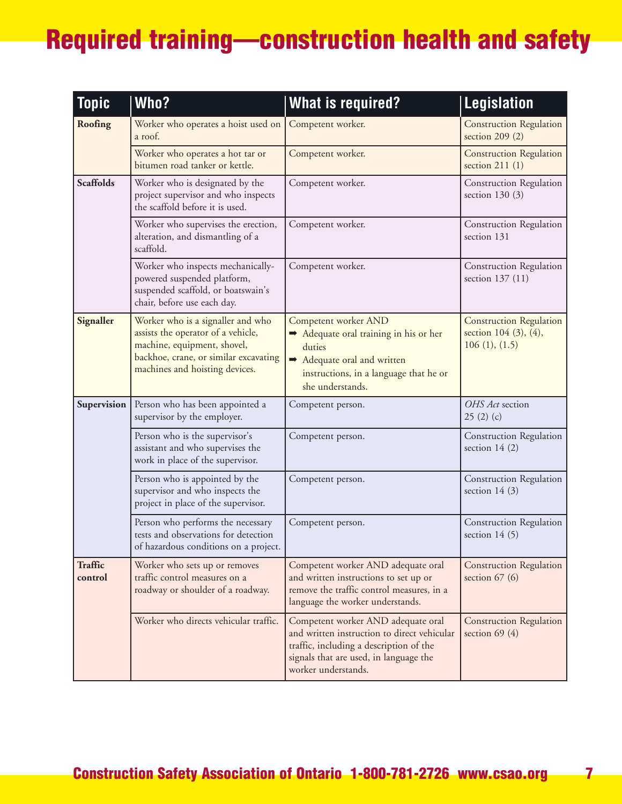| <b>Topic</b>              | Who?                                                                                                                                                                              | <b>What is required?</b>                                                                                                                                                                      | <b>Legislation</b>                                                       |
|---------------------------|-----------------------------------------------------------------------------------------------------------------------------------------------------------------------------------|-----------------------------------------------------------------------------------------------------------------------------------------------------------------------------------------------|--------------------------------------------------------------------------|
| Roofing                   | Worker who operates a hoist used on<br>a roof.                                                                                                                                    | Competent worker.                                                                                                                                                                             | <b>Construction Regulation</b><br>section $209(2)$                       |
|                           | Worker who operates a hot tar or<br>bitumen road tanker or kettle.                                                                                                                | Competent worker.                                                                                                                                                                             | <b>Construction Regulation</b><br>section $211(1)$                       |
| <b>Scaffolds</b>          | Worker who is designated by the<br>project supervisor and who inspects<br>the scaffold before it is used.                                                                         | Competent worker.                                                                                                                                                                             | Construction Regulation<br>section $130(3)$                              |
|                           | Worker who supervises the erection,<br>alteration, and dismantling of a<br>scaffold.                                                                                              | Competent worker.                                                                                                                                                                             | Construction Regulation<br>section 131                                   |
|                           | Worker who inspects mechanically-<br>powered suspended platform,<br>suspended scaffold, or boatswain's<br>chair, before use each day.                                             | Competent worker.                                                                                                                                                                             | Construction Regulation<br>section 137 (11)                              |
| Signaller                 | Worker who is a signaller and who<br>assists the operator of a vehicle,<br>machine, equipment, shovel,<br>backhoe, crane, or similar excavating<br>machines and hoisting devices. | Competent worker AND<br>Adequate oral training in his or her<br>duties<br>Adequate oral and written<br>instructions, in a language that he or<br>she understands.                             | <b>Construction Regulation</b><br>section 104 (3), (4),<br>106(1), (1.5) |
| Supervision               | Person who has been appointed a<br>supervisor by the employer.                                                                                                                    | Competent person.                                                                                                                                                                             | OHS Act section<br>25(2)(c)                                              |
|                           | Person who is the supervisor's<br>assistant and who supervises the<br>work in place of the supervisor.                                                                            | Competent person.                                                                                                                                                                             | <b>Construction Regulation</b><br>section $14(2)$                        |
|                           | Person who is appointed by the<br>supervisor and who inspects the<br>project in place of the supervisor.                                                                          | Competent person.                                                                                                                                                                             | Construction Regulation<br>section 14 $(3)$                              |
|                           | Person who performs the necessary<br>tests and observations for detection<br>of hazardous conditions on a project.                                                                | Competent person.                                                                                                                                                                             | Construction Regulation<br>section 14 $(5)$                              |
| <b>Traffic</b><br>control | Worker who sets up or removes<br>traffic control measures on a<br>roadway or shoulder of a roadway.                                                                               | Competent worker AND adequate oral<br>and written instructions to set up or<br>remove the traffic control measures, in a<br>language the worker understands.                                  | <b>Construction Regulation</b><br>section $67(6)$                        |
|                           | Worker who directs vehicular traffic.                                                                                                                                             | Competent worker AND adequate oral<br>and written instruction to direct vehicular<br>traffic, including a description of the<br>signals that are used, in language the<br>worker understands. | <b>Construction Regulation</b><br>section 69 $(4)$                       |